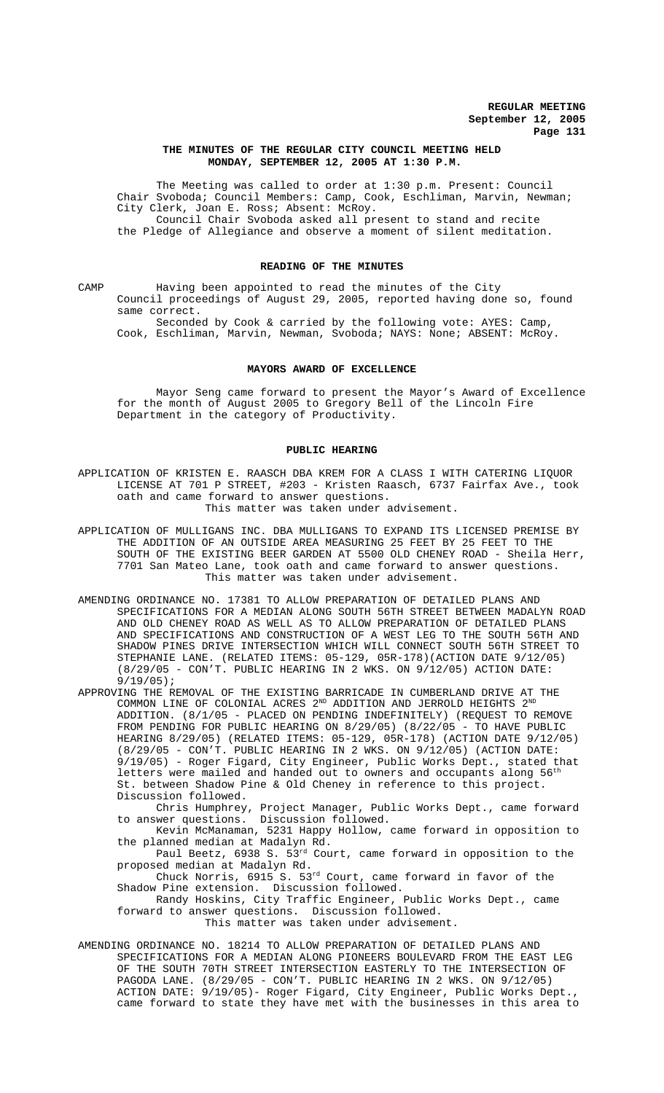## **THE MINUTES OF THE REGULAR CITY COUNCIL MEETING HELD MONDAY, SEPTEMBER 12, 2005 AT 1:30 P.M.**

The Meeting was called to order at 1:30 p.m. Present: Council Chair Svoboda; Council Members: Camp, Cook, Eschliman, Marvin, Newman; City Clerk, Joan E. Ross; Absent: McRoy. Council Chair Svoboda asked all present to stand and recite

the Pledge of Allegiance and observe a moment of silent meditation.

### **READING OF THE MINUTES**

CAMP Having been appointed to read the minutes of the City Council proceedings of August 29, 2005, reported having done so, found same correct.

Seconded by Cook & carried by the following vote: AYES: Camp, Cook, Eschliman, Marvin, Newman, Svoboda; NAYS: None; ABSENT: McRoy.

## **MAYORS AWARD OF EXCELLENCE**

Mayor Seng came forward to present the Mayor's Award of Excellence for the month of August 2005 to Gregory Bell of the Lincoln Fire Department in the category of Productivity.

#### **PUBLIC HEARING**

APPLICATION OF KRISTEN E. RAASCH DBA KREM FOR A CLASS I WITH CATERING LIQUOR LICENSE AT 701 P STREET, #203 - Kristen Raasch, 6737 Fairfax Ave., took oath and came forward to answer questions. This matter was taken under advisement.

APPLICATION OF MULLIGANS INC. DBA MULLIGANS TO EXPAND ITS LICENSED PREMISE BY THE ADDITION OF AN OUTSIDE AREA MEASURING 25 FEET BY 25 FEET TO THE SOUTH OF THE EXISTING BEER GARDEN AT 5500 OLD CHENEY ROAD - Sheila Herr, 7701 San Mateo Lane, took oath and came forward to answer questions. This matter was taken under advisement.

AMENDING ORDINANCE NO. 17381 TO ALLOW PREPARATION OF DETAILED PLANS AND SPECIFICATIONS FOR A MEDIAN ALONG SOUTH 56TH STREET BETWEEN MADALYN ROAD AND OLD CHENEY ROAD AS WELL AS TO ALLOW PREPARATION OF DETAILED PLANS AND SPECIFICATIONS AND CONSTRUCTION OF A WEST LEG TO THE SOUTH 56TH AND SHADOW PINES DRIVE INTERSECTION WHICH WILL CONNECT SOUTH 56TH STREET TO STEPHANIE LANE. (RELATED ITEMS: 05-129, 05R-178)(ACTION DATE 9/12/05) (8/29/05 - CON'T. PUBLIC HEARING IN 2 WKS. ON 9/12/05) ACTION DATE: 9/19/05);

APPROVING THE REMOVAL OF THE EXISTING BARRICADE IN CUMBERLAND DRIVE AT THE COMMON LINE OF COLONIAL ACRES  $2^{ND}$  ADDITION AND JERROLD HEIGHTS  $2^{ND}$ ADDITION. (8/1/05 - PLACED ON PENDING INDEFINITELY) (REQUEST TO REMOVE FROM PENDING FOR PUBLIC HEARING ON 8/29/05) (8/22/05 - TO HAVE PUBLIC HEARING 8/29/05) (RELATED ITEMS: 05-129, 05R-178) (ACTION DATE 9/12/05) (8/29/05 - CON'T. PUBLIC HEARING IN 2 WKS. ON 9/12/05) (ACTION DATE: 9/19/05) - Roger Figard, City Engineer, Public Works Dept., stated that letters were mailed and handed out to owners and occupants along  $56<sup>th</sup>$ St. between Shadow Pine & Old Cheney in reference to this project. Discussion followed.

Chris Humphrey, Project Manager, Public Works Dept., came forward to answer questions. Discussion followed.

Kevin McManaman, 5231 Happy Hollow, came forward in opposition to the planned median at Madalyn Rd.

Paul Beetz, 6938 S. 53rd Court, came forward in opposition to the proposed median at Madalyn Rd.

Chuck Norris, 6915 S. 53rd Court, came forward in favor of the Shadow Pine extension. Discussion followed.

Randy Hoskins, City Traffic Engineer, Public Works Dept., came forward to answer questions. Discussion followed. This matter was taken under advisement.

AMENDING ORDINANCE NO. 18214 TO ALLOW PREPARATION OF DETAILED PLANS AND SPECIFICATIONS FOR A MEDIAN ALONG PIONEERS BOULEVARD FROM THE EAST LEG OF THE SOUTH 70TH STREET INTERSECTION EASTERLY TO THE INTERSECTION OF PAGODA LANE. (8/29/05 - CON'T. PUBLIC HEARING IN 2 WKS. ON 9/12/05) ACTION DATE: 9/19/05)- Roger Figard, City Engineer, Public Works Dept., came forward to state they have met with the businesses in this area to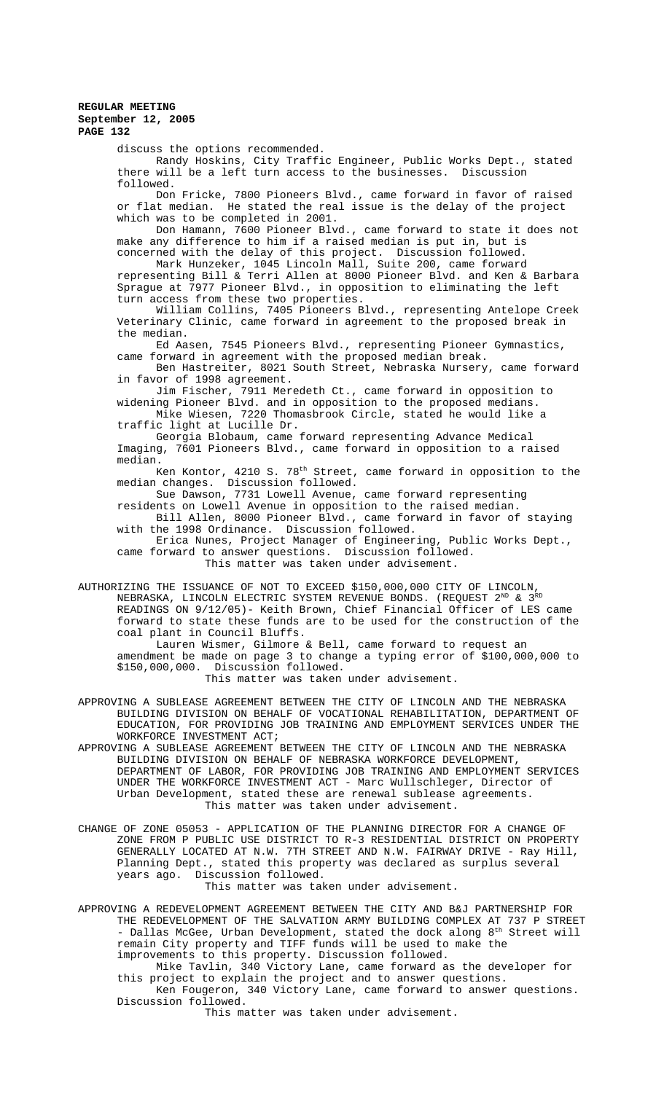discuss the options recommended.

Randy Hoskins, City Traffic Engineer, Public Works Dept., stated there will be a left turn access to the businesses. Discussion followed.

Don Fricke, 7800 Pioneers Blvd., came forward in favor of raised or flat median. He stated the real issue is the delay of the project which was to be completed in 2001.

Don Hamann, 7600 Pioneer Blvd., came forward to state it does not make any difference to him if a raised median is put in, but is concerned with the delay of this project. Discussion followed.

Mark Hunzeker, 1045 Lincoln Mall, Suite 200, came forward representing Bill & Terri Allen at 8000 Pioneer Blvd. and Ken & Barbara Sprague at 7977 Pioneer Blvd., in opposition to eliminating the left turn access from these two properties.

William Collins, 7405 Pioneers Blvd., representing Antelope Creek Veterinary Clinic, came forward in agreement to the proposed break in the median.

Ed Aasen, 7545 Pioneers Blvd., representing Pioneer Gymnastics, came forward in agreement with the proposed median break.

Ben Hastreiter, 8021 South Street, Nebraska Nursery, came forward in favor of 1998 agreement.

Jim Fischer, 7911 Meredeth Ct., came forward in opposition to widening Pioneer Blvd. and in opposition to the proposed medians.

Mike Wiesen, 7220 Thomasbrook Circle, stated he would like a traffic light at Lucille Dr.

Georgia Blobaum, came forward representing Advance Medical Imaging, 7601 Pioneers Blvd., came forward in opposition to a raised median.

Ken Kontor,  $4210$  S.  $78<sup>th</sup>$  Street, came forward in opposition to the median changes. Discussion followed.

Sue Dawson, 7731 Lowell Avenue, came forward representing

residents on Lowell Avenue in opposition to the raised median. Bill Allen, 8000 Pioneer Blvd., came forward in favor of staying with the 1998 Ordinance. Discussion followed.

Erica Nunes, Project Manager of Engineering, Public Works Dept., came forward to answer questions. Discussion followed.

This matter was taken under advisement.

AUTHORIZING THE ISSUANCE OF NOT TO EXCEED \$150,000,000 CITY OF LINCOLN, NEBRASKA, LINCOLN ELECTRIC SYSTEM REVENUE BONDS. (REQUEST  $2^{ND}$  &  $3^{RD}$ READINGS ON 9/12/05)- Keith Brown, Chief Financial Officer of LES came forward to state these funds are to be used for the construction of the coal plant in Council Bluffs.

Lauren Wismer, Gilmore & Bell, came forward to request an amendment be made on page 3 to change a typing error of \$100,000,000 to \$150,000,000. Discussion followed. This matter was taken under advisement.

APPROVING A SUBLEASE AGREEMENT BETWEEN THE CITY OF LINCOLN AND THE NEBRASKA BUILDING DIVISION ON BEHALF OF VOCATIONAL REHABILITATION, DEPARTMENT OF EDUCATION, FOR PROVIDING JOB TRAINING AND EMPLOYMENT SERVICES UNDER THE WORKFORCE INVESTMENT ACT;

APPROVING A SUBLEASE AGREEMENT BETWEEN THE CITY OF LINCOLN AND THE NEBRASKA BUILDING DIVISION ON BEHALF OF NEBRASKA WORKFORCE DEVELOPMENT, DEPARTMENT OF LABOR, FOR PROVIDING JOB TRAINING AND EMPLOYMENT SERVICES UNDER THE WORKFORCE INVESTMENT ACT - Marc Wullschleger, Director of Urban Development, stated these are renewal sublease agreements. This matter was taken under advisement.

CHANGE OF ZONE 05053 - APPLICATION OF THE PLANNING DIRECTOR FOR A CHANGE OF ZONE FROM P PUBLIC USE DISTRICT TO R-3 RESIDENTIAL DISTRICT ON PROPERTY GENERALLY LOCATED AT N.W. 7TH STREET AND N.W. FAIRWAY DRIVE - Ray Hill, Planning Dept., stated this property was declared as surplus several years ago. Discussion followed.

This matter was taken under advisement.

APPROVING A REDEVELOPMENT AGREEMENT BETWEEN THE CITY AND B&J PARTNERSHIP FOR THE REDEVELOPMENT OF THE SALVATION ARMY BUILDING COMPLEX AT 737 P STREET - Dallas McGee, Urban Development, stated the dock along  $8^{\text{th}}$  Street will remain City property and TIFF funds will be used to make the improvements to this property. Discussion followed.

Mike Tavlin, 340 Victory Lane, came forward as the developer for this project to explain the project and to answer questions. Ken Fougeron, 340 Victory Lane, came forward to answer questions.

Discussion followed. This matter was taken under advisement.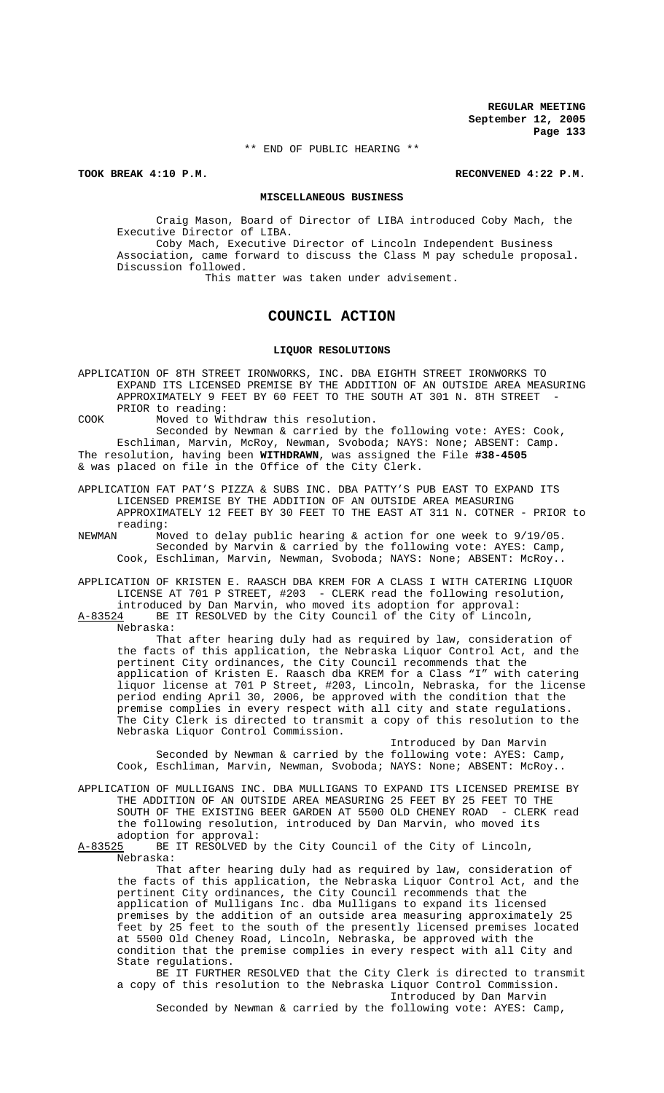\*\* END OF PUBLIC HEARING \*\*

**TOOK BREAK 4:10 P.M. RECONVENED 4:22 P.M.**

#### **MISCELLANEOUS BUSINESS**

Craig Mason, Board of Director of LIBA introduced Coby Mach, the Executive Director of LIBA. Coby Mach, Executive Director of Lincoln Independent Business

Association, came forward to discuss the Class M pay schedule proposal. Discussion followed.

This matter was taken under advisement.

# **COUNCIL ACTION**

### **LIQUOR RESOLUTIONS**

APPLICATION OF 8TH STREET IRONWORKS, INC. DBA EIGHTH STREET IRONWORKS TO EXPAND ITS LICENSED PREMISE BY THE ADDITION OF AN OUTSIDE AREA MEASURING APPROXIMATELY 9 FEET BY 60 FEET TO THE SOUTH AT 301 N. 8TH STREET PRIOR to reading:

COOK Moved to Withdraw this resolution.

Seconded by Newman & carried by the following vote: AYES: Cook, Eschliman, Marvin, McRoy, Newman, Svoboda; NAYS: None; ABSENT: Camp. The resolution, having been **WITHDRAWN**, was assigned the File **#38-4505**  & was placed on file in the Office of the City Clerk.

APPLICATION FAT PAT'S PIZZA & SUBS INC. DBA PATTY'S PUB EAST TO EXPAND ITS LICENSED PREMISE BY THE ADDITION OF AN OUTSIDE AREA MEASURING APPROXIMATELY 12 FEET BY 30 FEET TO THE EAST AT 311 N. COTNER - PRIOR to reading:<br>NEWMAN Mo

Moved to delay public hearing  $\&$  action for one week to  $9/19/05$ . Seconded by Marvin & carried by the following vote: AYES: Camp, Cook, Eschliman, Marvin, Newman, Svoboda; NAYS: None; ABSENT: McRoy..

APPLICATION OF KRISTEN E. RAASCH DBA KREM FOR A CLASS I WITH CATERING LIQUOR LICENSE AT 701 P STREET, #203 - CLERK read the following resolution, introduced by Dan Marvin, who moved its adoption for approval:  $A-83524$  BE IT RESOLVED by the City Council of the City of Lincoln,

Nebraska:

That after hearing duly had as required by law, consideration of the facts of this application, the Nebraska Liquor Control Act, and the pertinent City ordinances, the City Council recommends that the application of Kristen E. Raasch dba KREM for a Class "I" with catering liquor license at 701 P Street, #203, Lincoln, Nebraska, for the license period ending April 30, 2006, be approved with the condition that the premise complies in every respect with all city and state regulations. The City Clerk is directed to transmit a copy of this resolution to the Nebraska Liquor Control Commission.

Introduced by Dan Marvin Seconded by Newman & carried by the following vote: AYES: Camp, Cook, Eschliman, Marvin, Newman, Svoboda; NAYS: None; ABSENT: McRoy..

APPLICATION OF MULLIGANS INC. DBA MULLIGANS TO EXPAND ITS LICENSED PREMISE BY THE ADDITION OF AN OUTSIDE AREA MEASURING 25 FEET BY 25 FEET TO THE SOUTH OF THE EXISTING BEER GARDEN AT 5500 OLD CHENEY ROAD - CLERK read the following resolution, introduced by Dan Marvin, who moved its adoption for approval:

A-83525 BE IT RESOLVED by the City Council of the City of Lincoln, Nebraska:

That after hearing duly had as required by law, consideration of the facts of this application, the Nebraska Liquor Control Act, and the pertinent City ordinances, the City Council recommends that the application of Mulligans Inc. dba Mulligans to expand its licensed premises by the addition of an outside area measuring approximately 25 feet by 25 feet to the south of the presently licensed premises located at 5500 Old Cheney Road, Lincoln, Nebraska, be approved with the condition that the premise complies in every respect with all City and State regulations.

BE IT FURTHER RESOLVED that the City Clerk is directed to transmit a copy of this resolution to the Nebraska Liquor Control Commission. Introduced by Dan Marvin

Seconded by Newman & carried by the following vote: AYES: Camp,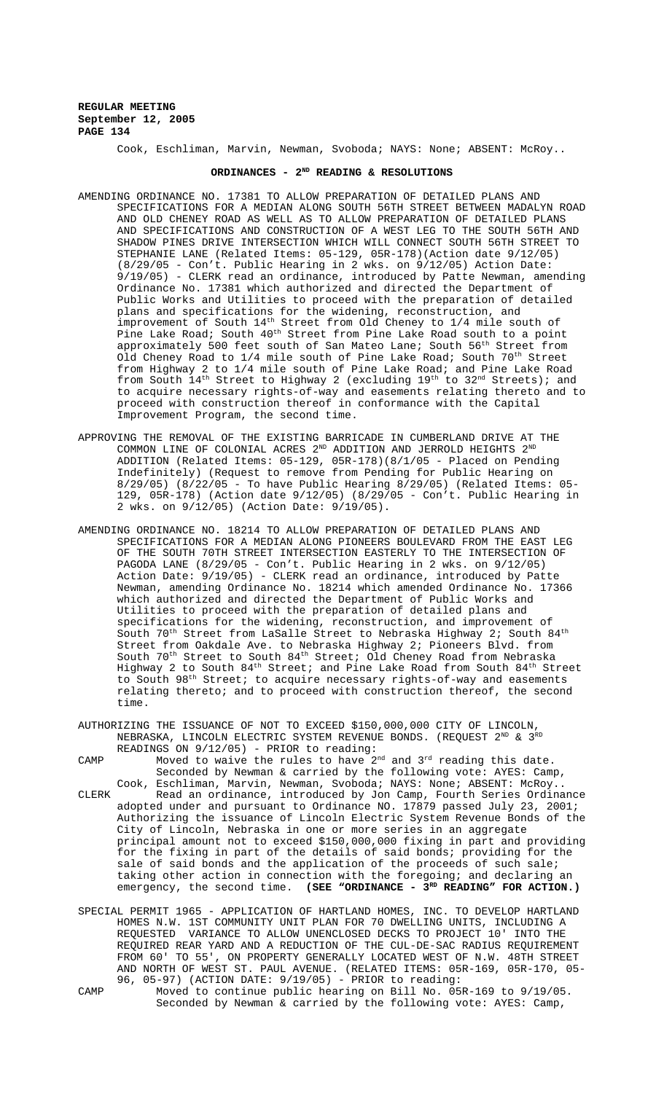Cook, Eschliman, Marvin, Newman, Svoboda; NAYS: None; ABSENT: McRoy..

# **ORDINANCES - 2ND READING & RESOLUTIONS**

- AMENDING ORDINANCE NO. 17381 TO ALLOW PREPARATION OF DETAILED PLANS AND SPECIFICATIONS FOR A MEDIAN ALONG SOUTH 56TH STREET BETWEEN MADALYN ROAD AND OLD CHENEY ROAD AS WELL AS TO ALLOW PREPARATION OF DETAILED PLANS AND SPECIFICATIONS AND CONSTRUCTION OF A WEST LEG TO THE SOUTH 56TH AND SHADOW PINES DRIVE INTERSECTION WHICH WILL CONNECT SOUTH 56TH STREET TO STEPHANIE LANE (Related Items: 05-129, 05R-178)(Action date 9/12/05) (8/29/05 - Con't. Public Hearing in 2 wks. on 9/12/05) Action Date: 9/19/05) - CLERK read an ordinance, introduced by Patte Newman, amending Ordinance No. 17381 which authorized and directed the Department of Public Works and Utilities to proceed with the preparation of detailed plans and specifications for the widening, reconstruction, and improvement of South 14<sup>th</sup> Street from Old Cheney to 1/4 mile south of Pine Lake Road; South  $40^{\rm th}$  Street from Pine Lake Road south to a point approximately 500 feet south of San Mateo Lane; South 56<sup>th</sup> Street from Old Cheney Road to  $1/4$  mile south of Pine Lake Road; South 70<sup>th</sup> Street from Highway 2 to 1/4 mile south of Pine Lake Road; and Pine Lake Road from South 14th Street to Highway 2 (excluding 19th to 32nd Streets); and to acquire necessary rights-of-way and easements relating thereto and to proceed with construction thereof in conformance with the Capital Improvement Program, the second time.
- APPROVING THE REMOVAL OF THE EXISTING BARRICADE IN CUMBERLAND DRIVE AT THE COMMON LINE OF COLONIAL ACRES  $2^{ND}$  ADDITION AND JERROLD HEIGHTS  $2^{ND}$ ADDITION (Related Items: 05-129, 05R-178)(8/1/05 - Placed on Pending Indefinitely) (Request to remove from Pending for Public Hearing on 8/29/05) (8/22/05 - To have Public Hearing 8/29/05) (Related Items: 05- 129, 05R-178) (Action date 9/12/05) (8/29/05 - Con't. Public Hearing in 2 wks. on 9/12/05) (Action Date: 9/19/05).
- AMENDING ORDINANCE NO. 18214 TO ALLOW PREPARATION OF DETAILED PLANS AND SPECIFICATIONS FOR A MEDIAN ALONG PIONEERS BOULEVARD FROM THE EAST LEG OF THE SOUTH 70TH STREET INTERSECTION EASTERLY TO THE INTERSECTION OF PAGODA LANE (8/29/05 - Con't. Public Hearing in 2 wks. on 9/12/05) Action Date: 9/19/05) - CLERK read an ordinance, introduced by Patte Newman, amending Ordinance No. 18214 which amended Ordinance No. 17366 which authorized and directed the Department of Public Works and Utilities to proceed with the preparation of detailed plans and specifications for the widening, reconstruction, and improvement of South 70<sup>th</sup> Street from LaSalle Street to Nebraska Highway 2; South 84<sup>th</sup> Street from Oakdale Ave. to Nebraska Highway 2; Pioneers Blvd. from South  $70^{\rm th}$  Street to South  $84^{\rm th}$  Street; Old Cheney Road from Nebraska Highway 2 to South  $84^{\text{th}}$  Street; and Pine Lake Road from South  $84^{\text{th}}$  Street to South 98th Street; to acquire necessary rights-of-way and easements relating thereto; and to proceed with construction thereof, the second time.
- AUTHORIZING THE ISSUANCE OF NOT TO EXCEED \$150,000,000 CITY OF LINCOLN, NEBRASKA, LINCOLN ELECTRIC SYSTEM REVENUE BONDS. (REQUEST  $2^{ND}$  &  $3^{RD}$ READINGS ON 9/12/05) - PRIOR to reading:
- CAMP Moved to waive the rules to have  $2<sup>nd</sup>$  and  $3<sup>rd</sup>$  reading this date. Seconded by Newman & carried by the following vote: AYES: Camp, Cook, Eschliman, Marvin, Newman, Svoboda; NAYS: None; ABSENT: McRoy.. CLERK Read an ordinance, introduced by Jon Camp, Fourth Series Ordinance adopted under and pursuant to Ordinance NO. 17879 passed July 23, 2001; Authorizing the issuance of Lincoln Electric System Revenue Bonds of the City of Lincoln, Nebraska in one or more series in an aggregate principal amount not to exceed \$150,000,000 fixing in part and providing for the fixing in part of the details of said bonds; providing for the sale of said bonds and the application of the proceeds of such sale; taking other action in connection with the foregoing; and declaring an emergency, the second time. (SEE "ORDINANCE - 3<sup>RD</sup> READING" FOR ACTION.)
- SPECIAL PERMIT 1965 APPLICATION OF HARTLAND HOMES, INC. TO DEVELOP HARTLAND HOMES N.W. 1ST COMMUNITY UNIT PLAN FOR 70 DWELLING UNITS, INCLUDING A REQUESTED VARIANCE TO ALLOW UNENCLOSED DECKS TO PROJECT 10' INTO THE REQUIRED REAR YARD AND A REDUCTION OF THE CUL-DE-SAC RADIUS REQUIREMENT FROM 60' TO 55', ON PROPERTY GENERALLY LOCATED WEST OF N.W. 48TH STREET AND NORTH OF WEST ST. PAUL AVENUE. (RELATED ITEMS: 05R-169, 05R-170, 05- 96, 05-97) (ACTION DATE: 9/19/05) - PRIOR to reading:
- CAMP Moved to continue public hearing on Bill No. 05R-169 to 9/19/05. Seconded by Newman & carried by the following vote: AYES: Camp,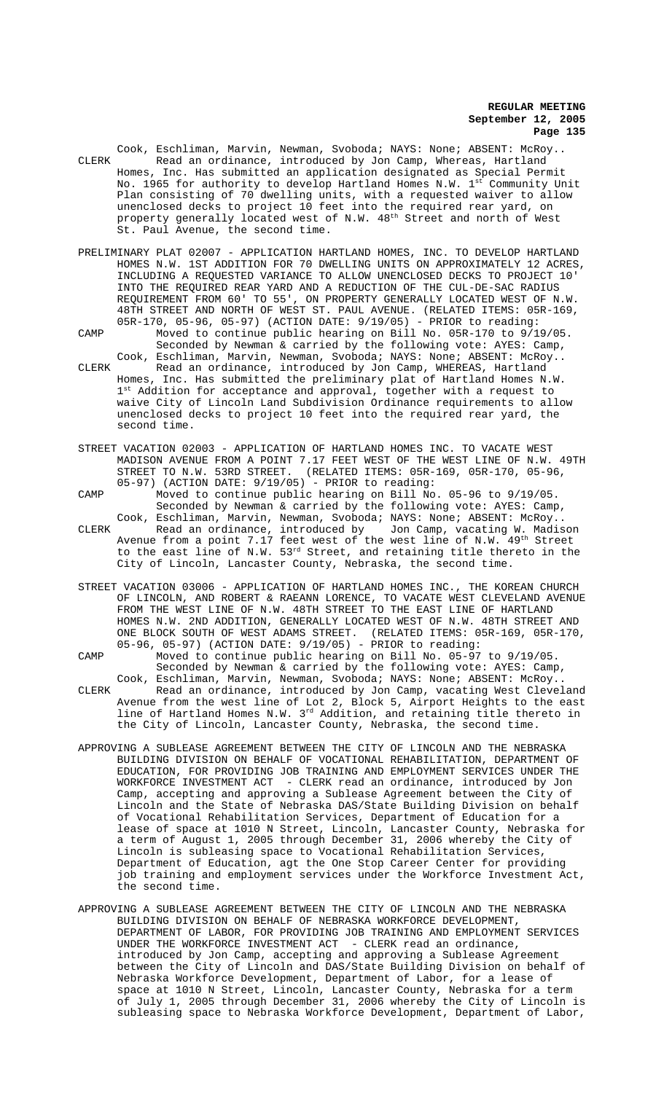Cook, Eschliman, Marvin, Newman, Svoboda; NAYS: None; ABSENT: McRoy.. CLERK Read an ordinance, introduced by Jon Camp, Whereas, Hartland Homes, Inc. Has submitted an application designated as Special Permit No. 1965 for authority to develop Hartland Homes N.W. 1st Community Unit Plan consisting of 70 dwelling units, with a requested waiver to allow unenclosed decks to project 10 feet into the required rear yard, on property generally located west of N.W.  $48<sup>th</sup>$  Street and north of West St. Paul Avenue, the second time.

- PRELIMINARY PLAT 02007 APPLICATION HARTLAND HOMES, INC. TO DEVELOP HARTLAND HOMES N.W. 1ST ADDITION FOR 70 DWELLING UNITS ON APPROXIMATELY 12 ACRES, INCLUDING A REQUESTED VARIANCE TO ALLOW UNENCLOSED DECKS TO PROJECT 10' INTO THE REQUIRED REAR YARD AND A REDUCTION OF THE CUL-DE-SAC RADIUS REQUIREMENT FROM 60' TO 55', ON PROPERTY GENERALLY LOCATED WEST OF N.W. 48TH STREET AND NORTH OF WEST ST. PAUL AVENUE. (RELATED ITEMS: 05R-169, 05R-170, 05-96, 05-97) (ACTION DATE: 9/19/05) - PRIOR to reading:
- CAMP Moved to continue public hearing on Bill No. 05R-170 to 9/19/05. Seconded by Newman & carried by the following vote: AYES: Camp, Cook, Eschliman, Marvin, Newman, Svoboda; NAYS: None; ABSENT: McRoy.. CLERK Read an ordinance, introduced by Jon Camp, WHEREAS, Hartland Homes, Inc. Has submitted the preliminary plat of Hartland Homes N.W. 1st Addition for acceptance and approval, together with a request to
- waive City of Lincoln Land Subdivision Ordinance requirements to allow unenclosed decks to project 10 feet into the required rear yard, the second time.
- STREET VACATION 02003 APPLICATION OF HARTLAND HOMES INC. TO VACATE WEST MADISON AVENUE FROM A POINT 7.17 FEET WEST OF THE WEST LINE OF N.W. 49TH STREET TO N.W. 53RD STREET. (RELATED ITEMS: 05R-169, 05R-170, 05-96, 05-97) (ACTION DATE: 9/19/05) - PRIOR to reading:
- CAMP Moved to continue public hearing on Bill No. 05-96 to 9/19/05. Seconded by Newman & carried by the following vote: AYES: Camp,
- Cook, Eschliman, Marvin, Newman, Svoboda; NAYS: None; ABSENT: McRoy.. CLERK Read an ordinance, introduced by Jon Camp, vacating W. Madison Avenue from a point  $7.17$  feet west of the west line of N.W.  $49^\mathrm{th}$  Street to the east line of N.W. 53<sup>rd</sup> Street, and retaining title thereto in the City of Lincoln, Lancaster County, Nebraska, the second time.
- STREET VACATION 03006 APPLICATION OF HARTLAND HOMES INC., THE KOREAN CHURCH OF LINCOLN, AND ROBERT & RAEANN LORENCE, TO VACATE WEST CLEVELAND AVENUE FROM THE WEST LINE OF N.W. 48TH STREET TO THE EAST LINE OF HARTLAND HOMES N.W. 2ND ADDITION, GENERALLY LOCATED WEST OF N.W. 48TH STREET AND ONE BLOCK SOUTH OF WEST ADAMS STREET. (RELATED ITEMS: 05R-169, 05R-170, 05-96, 05-97) (ACTION DATE: 9/19/05) - PRIOR to reading:
- CAMP Moved to continue public hearing on Bill No. 05-97 to 9/19/05. Seconded by Newman & carried by the following vote: AYES: Camp, Cook, Eschliman, Marvin, Newman, Svoboda; NAYS: None; ABSENT: McRoy..
- CLERK Read an ordinance, introduced by Jon Camp, vacating West Cleveland Avenue from the west line of Lot 2, Block 5, Airport Heights to the east line of Hartland Homes N.W. 3<sup>rd</sup> Addition, and retaining title thereto in the City of Lincoln, Lancaster County, Nebraska, the second time.
- APPROVING A SUBLEASE AGREEMENT BETWEEN THE CITY OF LINCOLN AND THE NEBRASKA BUILDING DIVISION ON BEHALF OF VOCATIONAL REHABILITATION, DEPARTMENT OF EDUCATION, FOR PROVIDING JOB TRAINING AND EMPLOYMENT SERVICES UNDER THE WORKFORCE INVESTMENT ACT - CLERK read an ordinance, introduced by Jon Camp, accepting and approving a Sublease Agreement between the City of Lincoln and the State of Nebraska DAS/State Building Division on behalf of Vocational Rehabilitation Services, Department of Education for a lease of space at 1010 N Street, Lincoln, Lancaster County, Nebraska for a term of August 1, 2005 through December 31, 2006 whereby the City of Lincoln is subleasing space to Vocational Rehabilitation Services, Department of Education, agt the One Stop Career Center for providing job training and employment services under the Workforce Investment Act, the second time.
- APPROVING A SUBLEASE AGREEMENT BETWEEN THE CITY OF LINCOLN AND THE NEBRASKA BUILDING DIVISION ON BEHALF OF NEBRASKA WORKFORCE DEVELOPMENT, DEPARTMENT OF LABOR, FOR PROVIDING JOB TRAINING AND EMPLOYMENT SERVICES UNDER THE WORKFORCE INVESTMENT ACT - CLERK read an ordinance, introduced by Jon Camp, accepting and approving a Sublease Agreement between the City of Lincoln and DAS/State Building Division on behalf of Nebraska Workforce Development, Department of Labor, for a lease of space at 1010 N Street, Lincoln, Lancaster County, Nebraska for a term of July 1, 2005 through December 31, 2006 whereby the City of Lincoln is subleasing space to Nebraska Workforce Development, Department of Labor,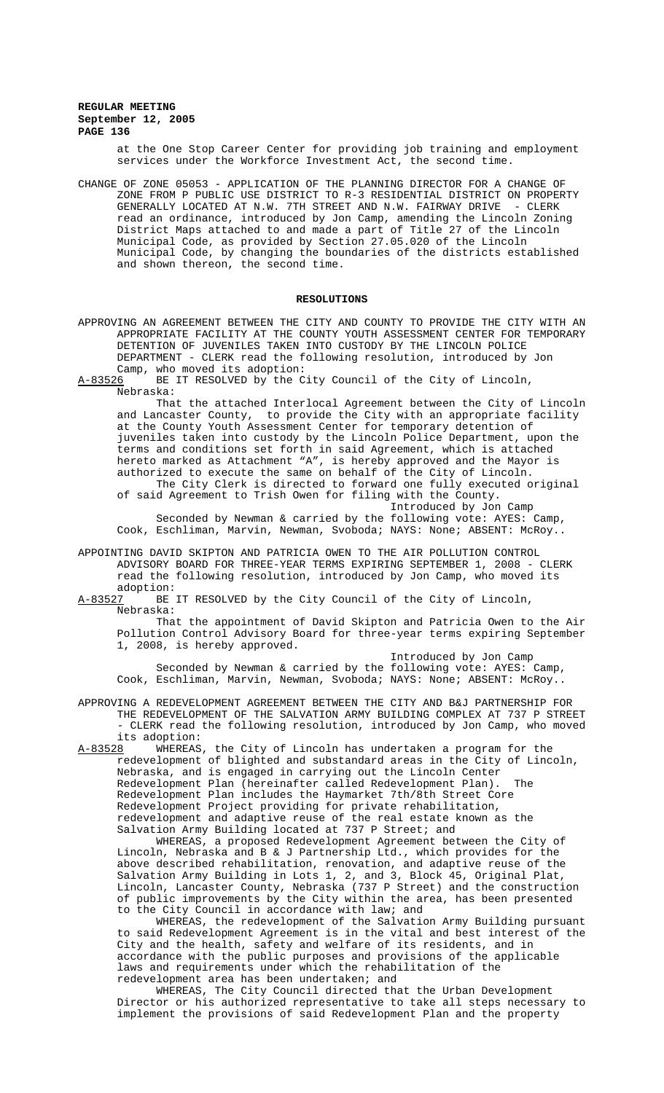at the One Stop Career Center for providing job training and employment services under the Workforce Investment Act, the second time.

CHANGE OF ZONE 05053 - APPLICATION OF THE PLANNING DIRECTOR FOR A CHANGE OF ZONE FROM P PUBLIC USE DISTRICT TO R-3 RESIDENTIAL DISTRICT ON PROPERTY GENERALLY LOCATED AT N.W. 7TH STREET AND N.W. FAIRWAY DRIVE - CLERK read an ordinance, introduced by Jon Camp, amending the Lincoln Zoning District Maps attached to and made a part of Title 27 of the Lincoln Municipal Code, as provided by Section 27.05.020 of the Lincoln Municipal Code, by changing the boundaries of the districts established and shown thereon, the second time.

### **RESOLUTIONS**

APPROVING AN AGREEMENT BETWEEN THE CITY AND COUNTY TO PROVIDE THE CITY WITH AN APPROPRIATE FACILITY AT THE COUNTY YOUTH ASSESSMENT CENTER FOR TEMPORARY DETENTION OF JUVENILES TAKEN INTO CUSTODY BY THE LINCOLN POLICE DEPARTMENT - CLERK read the following resolution, introduced by Jon Camp, who moved its adoption:<br>A-83526 BE IT RESOLVED by the C

BE IT RESOLVED by the City Council of the City of Lincoln, Nebraska:

That the attached Interlocal Agreement between the City of Lincoln and Lancaster County, to provide the City with an appropriate facility at the County Youth Assessment Center for temporary detention of juveniles taken into custody by the Lincoln Police Department, upon the terms and conditions set forth in said Agreement, which is attached hereto marked as Attachment "A", is hereby approved and the Mayor is authorized to execute the same on behalf of the City of Lincoln.

The City Clerk is directed to forward one fully executed original of said Agreement to Trish Owen for filing with the County. Introduced by Jon Camp

Seconded by Newman & carried by the following vote: AYES: Camp, Cook, Eschliman, Marvin, Newman, Svoboda; NAYS: None; ABSENT: McRoy..

APPOINTING DAVID SKIPTON AND PATRICIA OWEN TO THE AIR POLLUTION CONTROL ADVISORY BOARD FOR THREE-YEAR TERMS EXPIRING SEPTEMBER 1, 2008 - CLERK read the following resolution, introduced by Jon Camp, who moved its

adoption:<br>A-83527 BE BE IT RESOLVED by the City Council of the City of Lincoln, Nebraska:

That the appointment of David Skipton and Patricia Owen to the Air Pollution Control Advisory Board for three-year terms expiring September 1, 2008, is hereby approved.

Introduced by Jon Camp

Seconded by Newman & carried by the following vote: AYES: Camp, Cook, Eschliman, Marvin, Newman, Svoboda; NAYS: None; ABSENT: McRoy..

APPROVING A REDEVELOPMENT AGREEMENT BETWEEN THE CITY AND B&J PARTNERSHIP FOR THE REDEVELOPMENT OF THE SALVATION ARMY BUILDING COMPLEX AT 737 P STREET - CLERK read the following resolution, introduced by Jon Camp, who moved its adoption:

A-83528 WHEREAS, the City of Lincoln has undertaken a program for the redevelopment of blighted and substandard areas in the City of Lincoln, Nebraska, and is engaged in carrying out the Lincoln Center Redevelopment Plan (hereinafter called Redevelopment Plan). Redevelopment Plan includes the Haymarket 7th/8th Street Core Redevelopment Project providing for private rehabilitation, redevelopment and adaptive reuse of the real estate known as the Salvation Army Building located at 737 P Street; and WHEREAS, a proposed Redevelopment Agreement between the City of

Lincoln, Nebraska and B & J Partnership Ltd., which provides for the above described rehabilitation, renovation, and adaptive reuse of the Salvation Army Building in Lots 1, 2, and 3, Block 45, Original Plat, Lincoln, Lancaster County, Nebraska (737 P Street) and the construction of public improvements by the City within the area, has been presented to the City Council in accordance with law; and

WHEREAS, the redevelopment of the Salvation Army Building pursuant to said Redevelopment Agreement is in the vital and best interest of the City and the health, safety and welfare of its residents, and in accordance with the public purposes and provisions of the applicable laws and requirements under which the rehabilitation of the redevelopment area has been undertaken; and

WHEREAS, The City Council directed that the Urban Development Director or his authorized representative to take all steps necessary to implement the provisions of said Redevelopment Plan and the property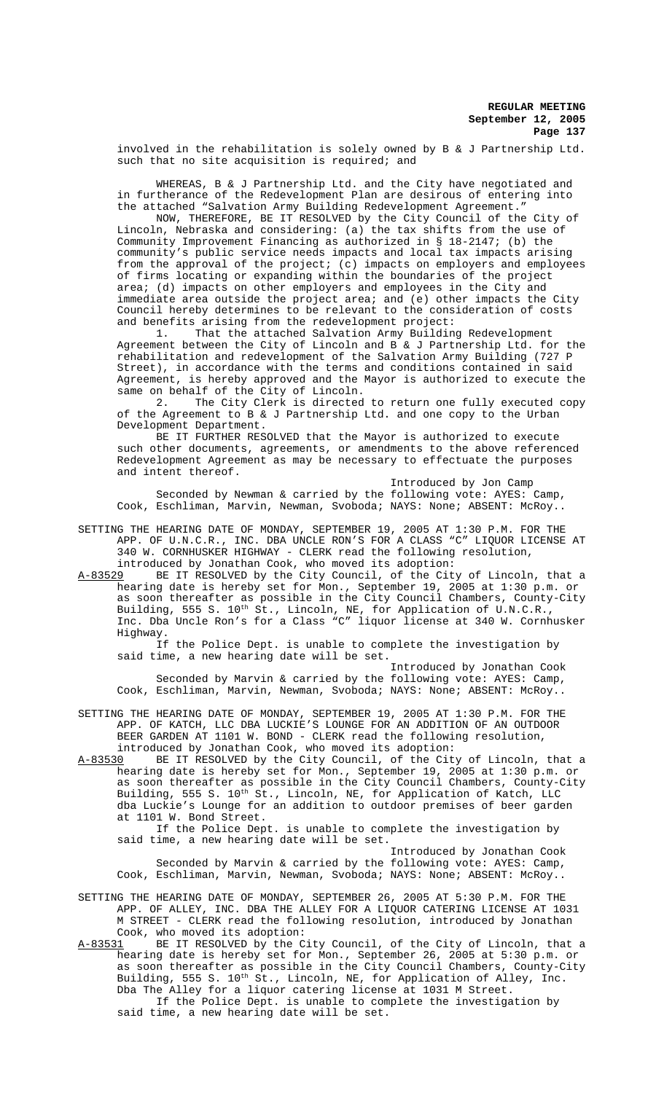involved in the rehabilitation is solely owned by B & J Partnership Ltd. such that no site acquisition is required; and

WHEREAS, B & J Partnership Ltd. and the City have negotiated and in furtherance of the Redevelopment Plan are desirous of entering into the attached "Salvation Army Building Redevelopment Agreement."

NOW, THEREFORE, BE IT RESOLVED by the City Council of the City of Lincoln, Nebraska and considering: (a) the tax shifts from the use of Community Improvement Financing as authorized in § 18-2147; (b) the community's public service needs impacts and local tax impacts arising from the approval of the project; (c) impacts on employers and employees of firms locating or expanding within the boundaries of the project area; (d) impacts on other employers and employees in the City and immediate area outside the project area; and (e) other impacts the City Council hereby determines to be relevant to the consideration of costs and benefits arising from the redevelopment project:

1. That the attached Salvation Army Building Redevelopment Agreement between the City of Lincoln and B & J Partnership Ltd. for the rehabilitation and redevelopment of the Salvation Army Building (727 P Street), in accordance with the terms and conditions contained in said Agreement, is hereby approved and the Mayor is authorized to execute the same on behalf of the City of Lincoln.

2. The City Clerk is directed to return one fully executed copy of the Agreement to B & J Partnership Ltd. and one copy to the Urban Development Department.

BE IT FURTHER RESOLVED that the Mayor is authorized to execute such other documents, agreements, or amendments to the above referenced Redevelopment Agreement as may be necessary to effectuate the purposes and intent thereof.

Introduced by Jon Camp

Seconded by Newman & carried by the following vote: AYES: Camp, Cook, Eschliman, Marvin, Newman, Svoboda; NAYS: None; ABSENT: McRoy..

SETTING THE HEARING DATE OF MONDAY, SEPTEMBER 19, 2005 AT 1:30 P.M. FOR THE APP. OF U.N.C.R., INC. DBA UNCLE RON'S FOR A CLASS "C" LIQUOR LICENSE AT 340 W. CORNHUSKER HIGHWAY - CLERK read the following resolution, introduced by Jonathan Cook, who moved its adoption:<br>A-83529 BE IT RESOLVED by the City Council, of the City

BE IT RESOLVED by the City Council, of the City of Lincoln, that a hearing date is hereby set for Mon., September 19, 2005 at 1:30 p.m. or as soon thereafter as possible in the City Council Chambers, County-City Building, 555 S. 10<sup>th</sup> St., Lincoln, NE, for Application of U.N.C.R., Inc. Dba Uncle Ron's for a Class "C" liquor license at 340 W. Cornhusker Highway.

If the Police Dept. is unable to complete the investigation by said time, a new hearing date will be set.

Introduced by Jonathan Cook Seconded by Marvin & carried by the following vote: AYES: Camp, Cook, Eschliman, Marvin, Newman, Svoboda; NAYS: None; ABSENT: McRoy..

SETTING THE HEARING DATE OF MONDAY, SEPTEMBER 19, 2005 AT 1:30 P.M. FOR THE APP. OF KATCH, LLC DBA LUCKIE'S LOUNGE FOR AN ADDITION OF AN OUTDOOR BEER GARDEN AT 1101 W. BOND - CLERK read the following resolution, introduced by Jonathan Cook, who moved its adoption:<br>A-83530 BE IT RESOLVED by the City Council, of the City

BE IT RESOLVED by the City Council, of the City of Lincoln, that a hearing date is hereby set for Mon., September 19, 2005 at 1:30 p.m. or as soon thereafter as possible in the City Council Chambers, County-City Building, 555 S. 10<sup>th</sup> St., Lincoln, NE, for Application of Katch, LLC dba Luckie's Lounge for an addition to outdoor premises of beer garden at 1101 W. Bond Street.

If the Police Dept. is unable to complete the investigation by said time, a new hearing date will be set.

Introduced by Jonathan Cook Seconded by Marvin & carried by the following vote: AYES: Camp, Cook, Eschliman, Marvin, Newman, Svoboda; NAYS: None; ABSENT: McRoy..

SETTING THE HEARING DATE OF MONDAY, SEPTEMBER 26, 2005 AT 5:30 P.M. FOR THE APP. OF ALLEY, INC. DBA THE ALLEY FOR A LIQUOR CATERING LICENSE AT 1031 M STREET - CLERK read the following resolution, introduced by Jonathan Cook, who moved its adoption:<br>A-83531 BE IT RESOLVED by the C

BE IT RESOLVED by the City Council, of the City of Lincoln, that a hearing date is hereby set for Mon., September 26, 2005 at 5:30 p.m. or as soon thereafter as possible in the City Council Chambers, County-City Building, 555 S. 10<sup>th</sup> St., Lincoln, NE, for Application of Alley, Inc. Dba The Alley for a liquor catering license at 1031 M Street. If the Police Dept. is unable to complete the investigation by

said time, a new hearing date will be set.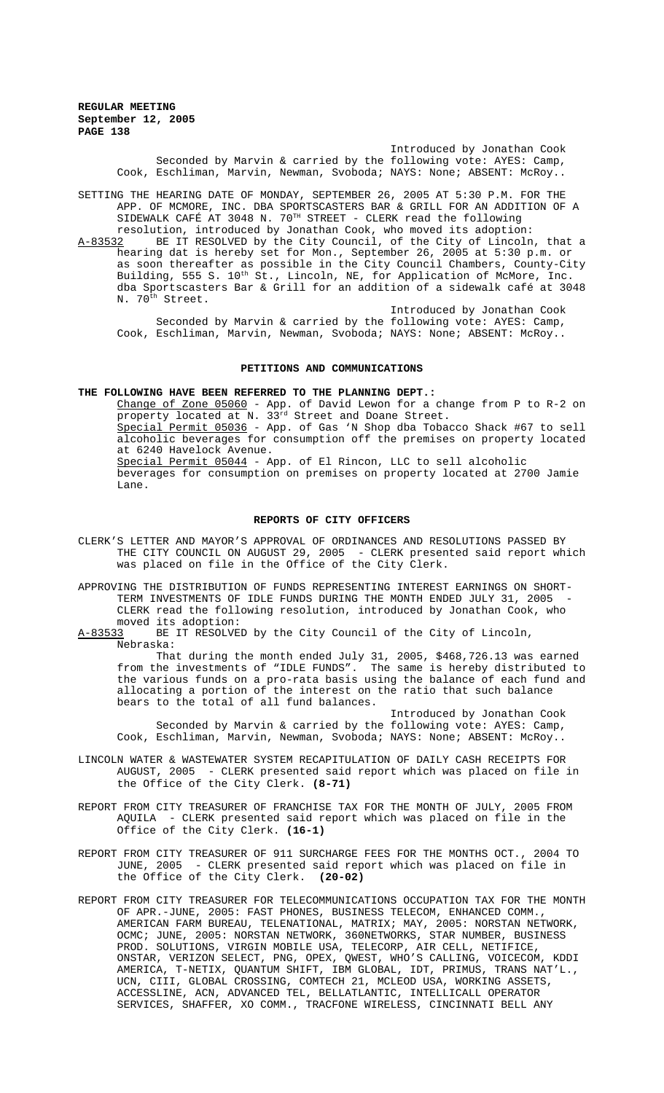> Introduced by Jonathan Cook Seconded by Marvin & carried by the following vote: AYES: Camp, Cook, Eschliman, Marvin, Newman, Svoboda; NAYS: None; ABSENT: McRoy..

SETTING THE HEARING DATE OF MONDAY, SEPTEMBER 26, 2005 AT 5:30 P.M. FOR THE APP. OF MCMORE, INC. DBA SPORTSCASTERS BAR & GRILL FOR AN ADDITION OF A SIDEWALK CAFÉ AT 3048 N.  $70^{TH}$  STREET - CLERK read the following resolution, introduced by Jonathan Cook, who moved its adoption:<br>A-83532 BE IT RESOLVED by the City Council, of the City of Lincoln

BE IT RESOLVED by the City Council, of the City of Lincoln, that a hearing dat is hereby set for Mon., September 26, 2005 at 5:30 p.m. or as soon thereafter as possible in the City Council Chambers, County-City Building, 555 S. 10<sup>th</sup> St., Lincoln, NE, for Application of McMore, Inc. dba Sportscasters Bar & Grill for an addition of a sidewalk café at 3048 N. 70<sup>th</sup> Street.

Introduced by Jonathan Cook Seconded by Marvin & carried by the following vote: AYES: Camp, Cook, Eschliman, Marvin, Newman, Svoboda; NAYS: None; ABSENT: McRoy..

## **PETITIONS AND COMMUNICATIONS**

**THE FOLLOWING HAVE BEEN REFERRED TO THE PLANNING DEPT.:**

Change of Zone 05060 - App. of David Lewon for a change from P to R-2 on property located at N. 33rd Street and Doane Street. Special Permit 05036 - App. of Gas 'N Shop dba Tobacco Shack #67 to sell alcoholic beverages for consumption off the premises on property located at 6240 Havelock Avenue. Special Permit 05044 - App. of El Rincon, LLC to sell alcoholic beverages for consumption on premises on property located at 2700 Jamie Lane.

### **REPORTS OF CITY OFFICERS**

CLERK'S LETTER AND MAYOR'S APPROVAL OF ORDINANCES AND RESOLUTIONS PASSED BY THE CITY COUNCIL ON AUGUST 29, 2005 - CLERK presented said report which was placed on file in the Office of the City Clerk.

APPROVING THE DISTRIBUTION OF FUNDS REPRESENTING INTEREST EARNINGS ON SHORT-TERM INVESTMENTS OF IDLE FUNDS DURING THE MONTH ENDED JULY 31, 2005 CLERK read the following resolution, introduced by Jonathan Cook, who moved its adoption:<br>A-83533 BE IT RESOLVE

BE IT RESOLVED by the City Council of the City of Lincoln, Nebraska:

That during the month ended July 31, 2005, \$468,726.13 was earned from the investments of "IDLE FUNDS". The same is hereby distributed to the various funds on a pro-rata basis using the balance of each fund and allocating a portion of the interest on the ratio that such balance bears to the total of all fund balances.

Introduced by Jonathan Cook Seconded by Marvin & carried by the following vote: AYES: Camp, Cook, Eschliman, Marvin, Newman, Svoboda; NAYS: None; ABSENT: McRoy..

- LINCOLN WATER & WASTEWATER SYSTEM RECAPITULATION OF DAILY CASH RECEIPTS FOR AUGUST, 2005 - CLERK presented said report which was placed on file in the Office of the City Clerk. **(8-71)**
- REPORT FROM CITY TREASURER OF FRANCHISE TAX FOR THE MONTH OF JULY, 2005 FROM AQUILA - CLERK presented said report which was placed on file in the Office of the City Clerk. **(16-1)**
- REPORT FROM CITY TREASURER OF 911 SURCHARGE FEES FOR THE MONTHS OCT., 2004 TO JUNE, 2005 - CLERK presented said report which was placed on file in the Office of the City Clerk. **(20-02)**
- REPORT FROM CITY TREASURER FOR TELECOMMUNICATIONS OCCUPATION TAX FOR THE MONTH OF APR.-JUNE, 2005: FAST PHONES, BUSINESS TELECOM, ENHANCED COMM., AMERICAN FARM BUREAU, TELENATIONAL, MATRIX; MAY, 2005: NORSTAN NETWORK, OCMC; JUNE, 2005: NORSTAN NETWORK, 360NETWORKS, STAR NUMBER, BUSINESS PROD. SOLUTIONS, VIRGIN MOBILE USA, TELECORP, AIR CELL, NETIFICE, ONSTAR, VERIZON SELECT, PNG, OPEX, QWEST, WHO'S CALLING, VOICECOM, KDDI AMERICA, T-NETIX, QUANTUM SHIFT, IBM GLOBAL, IDT, PRIMUS, TRANS NAT'L., UCN, CIII, GLOBAL CROSSING, COMTECH 21, MCLEOD USA, WORKING ASSETS, ACCESSLINE, ACN, ADVANCED TEL, BELLATLANTIC, INTELLICALL OPERATOR SERVICES, SHAFFER, XO COMM., TRACFONE WIRELESS, CINCINNATI BELL ANY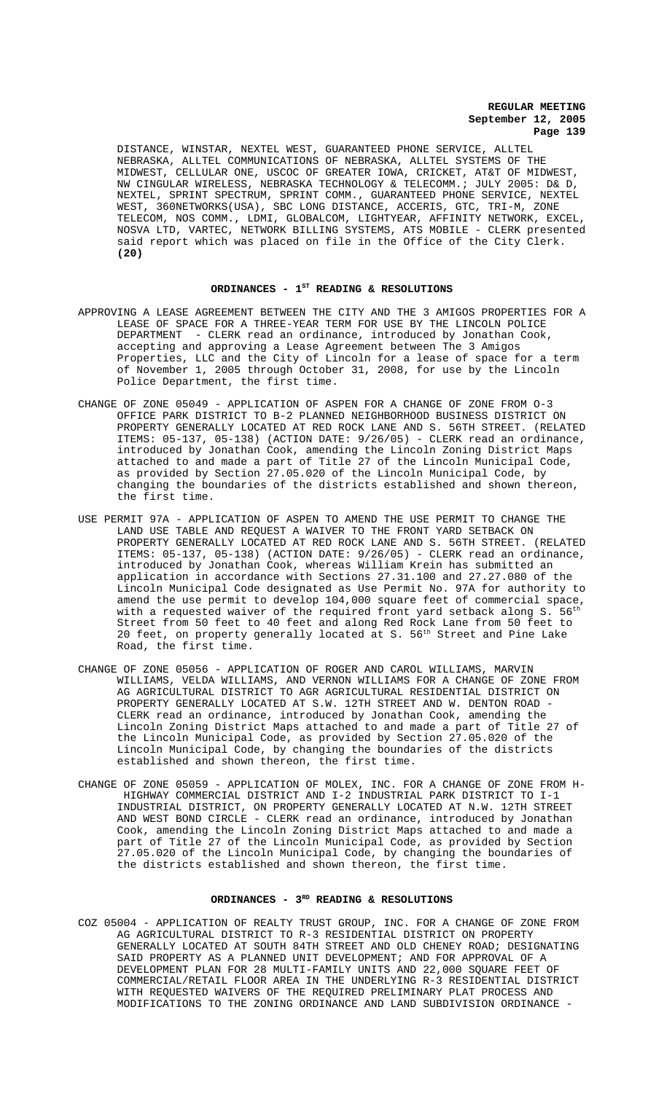DISTANCE, WINSTAR, NEXTEL WEST, GUARANTEED PHONE SERVICE, ALLTEL NEBRASKA, ALLTEL COMMUNICATIONS OF NEBRASKA, ALLTEL SYSTEMS OF THE MIDWEST, CELLULAR ONE, USCOC OF GREATER IOWA, CRICKET, AT&T OF MIDWEST, NW CINGULAR WIRELESS, NEBRASKA TECHNOLOGY & TELECOMM.; JULY 2005: D& D, NEXTEL, SPRINT SPECTRUM, SPRINT COMM., GUARANTEED PHONE SERVICE, NEXTEL WEST, 360NETWORKS(USA), SBC LONG DISTANCE, ACCERIS, GTC, TRI-M, ZONE TELECOM, NOS COMM., LDMI, GLOBALCOM, LIGHTYEAR, AFFINITY NETWORK, EXCEL, NOSVA LTD, VARTEC, NETWORK BILLING SYSTEMS, ATS MOBILE - CLERK presented said report which was placed on file in the Office of the City Clerk. **(20)**

### ORDINANCES -  $1^{ST}$  READING & RESOLUTIONS

- APPROVING A LEASE AGREEMENT BETWEEN THE CITY AND THE 3 AMIGOS PROPERTIES FOR A LEASE OF SPACE FOR A THREE-YEAR TERM FOR USE BY THE LINCOLN POLICE DEPARTMENT - CLERK read an ordinance, introduced by Jonathan Cook, accepting and approving a Lease Agreement between The 3 Amigos Properties, LLC and the City of Lincoln for a lease of space for a term of November 1, 2005 through October 31, 2008, for use by the Lincoln Police Department, the first time.
- CHANGE OF ZONE 05049 APPLICATION OF ASPEN FOR A CHANGE OF ZONE FROM O-3 OFFICE PARK DISTRICT TO B-2 PLANNED NEIGHBORHOOD BUSINESS DISTRICT ON PROPERTY GENERALLY LOCATED AT RED ROCK LANE AND S. 56TH STREET. (RELATED ITEMS: 05-137, 05-138) (ACTION DATE: 9/26/05) - CLERK read an ordinance, introduced by Jonathan Cook, amending the Lincoln Zoning District Maps attached to and made a part of Title 27 of the Lincoln Municipal Code, as provided by Section 27.05.020 of the Lincoln Municipal Code, by changing the boundaries of the districts established and shown thereon, the first time.
- USE PERMIT 97A APPLICATION OF ASPEN TO AMEND THE USE PERMIT TO CHANGE THE LAND USE TABLE AND REQUEST A WAIVER TO THE FRONT YARD SETBACK ON PROPERTY GENERALLY LOCATED AT RED ROCK LANE AND S. 56TH STREET. (RELATED ITEMS: 05-137, 05-138) (ACTION DATE: 9/26/05) - CLERK read an ordinance, introduced by Jonathan Cook, whereas William Krein has submitted an application in accordance with Sections 27.31.100 and 27.27.080 of the Lincoln Municipal Code designated as Use Permit No. 97A for authority to amend the use permit to develop 104,000 square feet of commercial space, with a requested waiver of the required front yard setback along S. 56<sup>th</sup> Street from 50 feet to 40 feet and along Red Rock Lane from 50 feet to 20 feet, on property generally located at S. 56<sup>th</sup> Street and Pine Lake Road, the first time.
- CHANGE OF ZONE 05056 APPLICATION OF ROGER AND CAROL WILLIAMS, MARVIN WILLIAMS, VELDA WILLIAMS, AND VERNON WILLIAMS FOR A CHANGE OF ZONE FROM AG AGRICULTURAL DISTRICT TO AGR AGRICULTURAL RESIDENTIAL DISTRICT ON PROPERTY GENERALLY LOCATED AT S.W. 12TH STREET AND W. DENTON ROAD - CLERK read an ordinance, introduced by Jonathan Cook, amending the Lincoln Zoning District Maps attached to and made a part of Title 27 of the Lincoln Municipal Code, as provided by Section 27.05.020 of the Lincoln Municipal Code, by changing the boundaries of the districts established and shown thereon, the first time.
- CHANGE OF ZONE 05059 APPLICATION OF MOLEX, INC. FOR A CHANGE OF ZONE FROM H- HIGHWAY COMMERCIAL DISTRICT AND I-2 INDUSTRIAL PARK DISTRICT TO I-1 INDUSTRIAL DISTRICT, ON PROPERTY GENERALLY LOCATED AT N.W. 12TH STREET AND WEST BOND CIRCLE - CLERK read an ordinance, introduced by Jonathan Cook, amending the Lincoln Zoning District Maps attached to and made a part of Title 27 of the Lincoln Municipal Code, as provided by Section part of fitte 27 of the Lincoln Municipal Code, by changing the boundaries of the districts established and shown thereon, the first time.

## ORDINANCES - 3<sup>RD</sup> READING & RESOLUTIONS

COZ 05004 - APPLICATION OF REALTY TRUST GROUP, INC. FOR A CHANGE OF ZONE FROM AG AGRICULTURAL DISTRICT TO R-3 RESIDENTIAL DISTRICT ON PROPERTY GENERALLY LOCATED AT SOUTH 84TH STREET AND OLD CHENEY ROAD; DESIGNATING SAID PROPERTY AS A PLANNED UNIT DEVELOPMENT; AND FOR APPROVAL OF A DEVELOPMENT PLAN FOR 28 MULTI-FAMILY UNITS AND 22,000 SQUARE FEET OF COMMERCIAL/RETAIL FLOOR AREA IN THE UNDERLYING R-3 RESIDENTIAL DISTRICT WITH REQUESTED WAIVERS OF THE REQUIRED PRELIMINARY PLAT PROCESS AND MODIFICATIONS TO THE ZONING ORDINANCE AND LAND SUBDIVISION ORDINANCE -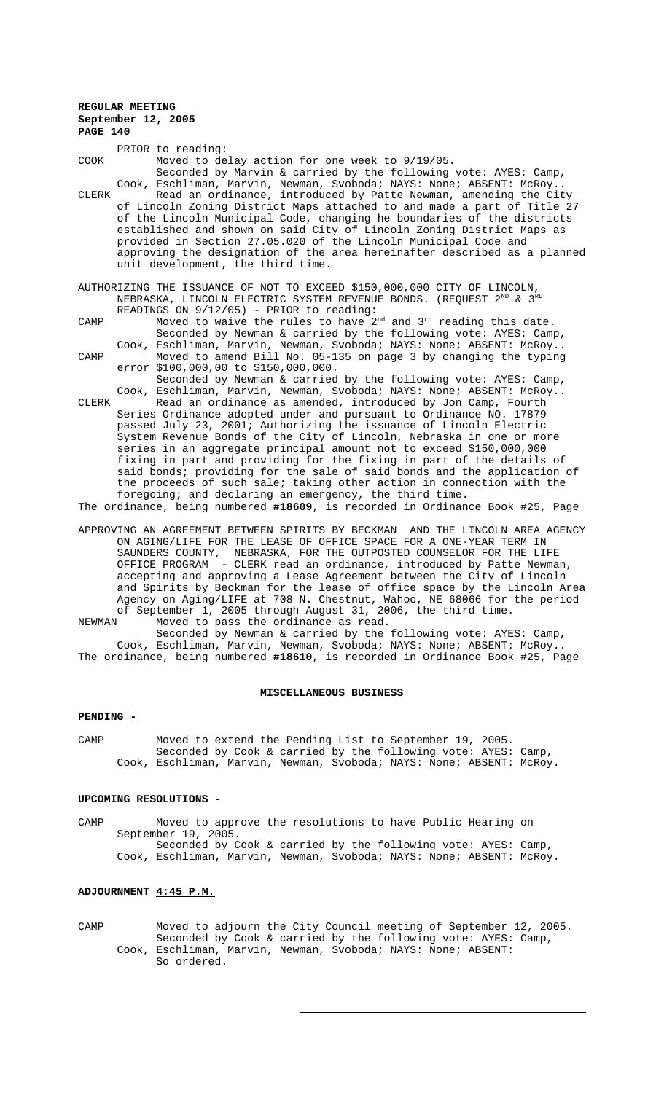PRIOR to reading: COOK Moved to delay action for one week to 9/19/05. Seconded by Marvin & carried by the following vote: AYES: Camp, Cook, Eschliman, Marvin, Newman, Svoboda; NAYS: None; ABSENT: McRoy.. CLERK Read an ordinance, introduced by Patte Newman, amending the City of Lincoln Zoning District Maps attached to and made a part of Title 27 of the Lincoln Municipal Code, changing he boundaries of the districts established and shown on said City of Lincoln Zoning District Maps as provided in Section 27.05.020 of the Lincoln Municipal Code and approving the designation of the area hereinafter described as a planned unit development, the third time. AUTHORIZING THE ISSUANCE OF NOT TO EXCEED \$150,000,000 CITY OF LINCOLN, NEBRASKA, LINCOLN ELECTRIC SYSTEM REVENUE BONDS. (REQUEST  $2^{ND}$  &  $3^{RD}$ READINGS ON 9/12/05) - PRIOR to reading: CAMP Moved to waive the rules to have 2<sup>nd</sup> and 3<sup>rd</sup> reading this date. Seconded by Newman & carried by the following vote: AYES: Camp, Cook, Eschliman, Marvin, Newman, Svoboda; NAYS: None; ABSENT: McRoy.. CAMP Moved to amend Bill No. 05-135 on page 3 by changing the typing error \$100,000,00 to \$150,000,000. Seconded by Newman & carried by the following vote: AYES: Camp, Cook, Eschliman, Marvin, Newman, Svoboda; NAYS: None; ABSENT: McRoy..

CLERK Read an ordinance as amended, introduced by Jon Camp, Fourth Series Ordinance adopted under and pursuant to Ordinance NO. 17879 passed July 23, 2001; Authorizing the issuance of Lincoln Electric System Revenue Bonds of the City of Lincoln, Nebraska in one or more series in an aggregate principal amount not to exceed \$150,000,000 fixing in part and providing for the fixing in part of the details of said bonds; providing for the sale of said bonds and the application of the proceeds of such sale; taking other action in connection with the foregoing; and declaring an emergency, the third time.

The ordinance, being numbered **#18609**, is recorded in Ordinance Book #25, Page

APPROVING AN AGREEMENT BETWEEN SPIRITS BY BECKMAN AND THE LINCOLN AREA AGENCY ON AGING/LIFE FOR THE LEASE OF OFFICE SPACE FOR A ONE-YEAR TERM IN SAUNDERS COUNTY, NEBRASKA, FOR THE OUTPOSTED COUNSELOR FOR THE LIFE OFFICE PROGRAM - CLERK read an ordinance, introduced by Patte Newman, accepting and approving a Lease Agreement between the City of Lincoln and Spirits by Beckman for the lease of office space by the Lincoln Area Agency on Aging/LIFE at 708 N. Chestnut, Wahoo, NE 68066 for the period of September 1, 2005 through August 31, 2006, the third time. NEWMAN Moved to pass the ordinance as read.

Seconded by Newman & carried by the following vote: AYES: Camp, Cook, Eschliman, Marvin, Newman, Svoboda; NAYS: None; ABSENT: McRoy.. The ordinance, being numbered **#18610**, is recorded in Ordinance Book #25, Page

#### **MISCELLANEOUS BUSINESS**

### **PENDING -**

CAMP Moved to extend the Pending List to September 19, 2005. Seconded by Cook & carried by the following vote: AYES: Camp, Cook, Eschliman, Marvin, Newman, Svoboda; NAYS: None; ABSENT: McRoy.

### **UPCOMING RESOLUTIONS -**

CAMP Moved to approve the resolutions to have Public Hearing on September 19, 2005. Seconded by Cook & carried by the following vote: AYES: Camp, Cook, Eschliman, Marvin, Newman, Svoboda; NAYS: None; ABSENT: McRoy.

# **ADJOURNMENT 4:45 P.M.**

CAMP Moved to adjourn the City Council meeting of September 12, 2005. Seconded by Cook & carried by the following vote: AYES: Camp, Cook, Eschliman, Marvin, Newman, Svoboda; NAYS: None; ABSENT: So ordered.